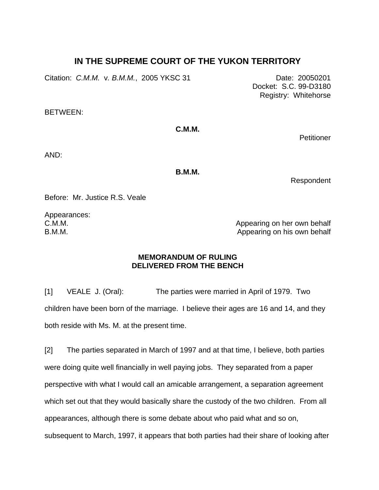## **IN THE SUPREME COURT OF THE YUKON TERRITORY**

Citation: *C.M.M.* v*. B.M.M.*, 2005 YKSC 31 Date: 20050201

BETWEEN:

**C.M.M.** 

**Petitioner** 

Docket: S.C. 99-D3180 Registry: Whitehorse

AND:

**B.M.M.** 

Respondent

Before: Mr. Justice R.S. Veale

Appearances: C.M.M. B.M.M.

Appearing on her own behalf Appearing on his own behalf

## **MEMORANDUM OF RULING DELIVERED FROM THE BENCH**

[1] VEALE J. (Oral): The parties were married in April of 1979. Two children have been born of the marriage. I believe their ages are 16 and 14, and they both reside with Ms. M. at the present time.

[2] The parties separated in March of 1997 and at that time, I believe, both parties were doing quite well financially in well paying jobs. They separated from a paper perspective with what I would call an amicable arrangement, a separation agreement which set out that they would basically share the custody of the two children. From all appearances, although there is some debate about who paid what and so on, subsequent to March, 1997, it appears that both parties had their share of looking after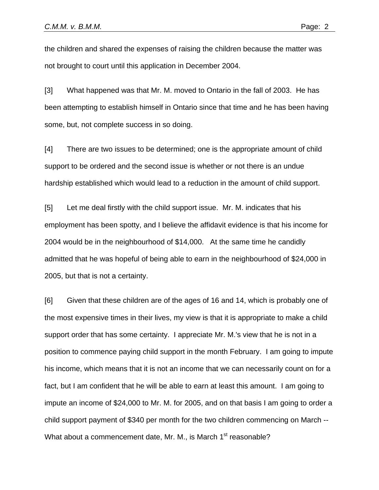the children and shared the expenses of raising the children because the matter was not brought to court until this application in December 2004.

[3] What happened was that Mr. M. moved to Ontario in the fall of 2003. He has been attempting to establish himself in Ontario since that time and he has been having some, but, not complete success in so doing.

[4] There are two issues to be determined; one is the appropriate amount of child support to be ordered and the second issue is whether or not there is an undue hardship established which would lead to a reduction in the amount of child support.

[5] Let me deal firstly with the child support issue. Mr. M. indicates that his employment has been spotty, and I believe the affidavit evidence is that his income for 2004 would be in the neighbourhood of \$14,000. At the same time he candidly admitted that he was hopeful of being able to earn in the neighbourhood of \$24,000 in 2005, but that is not a certainty.

[6] Given that these children are of the ages of 16 and 14, which is probably one of the most expensive times in their lives, my view is that it is appropriate to make a child support order that has some certainty. I appreciate Mr. M.'s view that he is not in a position to commence paying child support in the month February. I am going to impute his income, which means that it is not an income that we can necessarily count on for a fact, but I am confident that he will be able to earn at least this amount. I am going to impute an income of \$24,000 to Mr. M. for 2005, and on that basis I am going to order a child support payment of \$340 per month for the two children commencing on March -- What about a commencement date, Mr. M., is March 1<sup>st</sup> reasonable?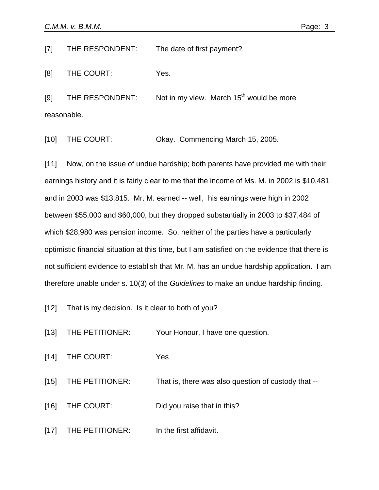[7] THE RESPONDENT: The date of first payment?

[8] THE COURT: Yes.

[9] THE RESPONDENT: Not in my view. March  $15<sup>th</sup>$  would be more reasonable.

[10] THE COURT: Okay. Commencing March 15, 2005.

[11] Now, on the issue of undue hardship; both parents have provided me with their earnings history and it is fairly clear to me that the income of Ms. M. in 2002 is \$10,481 and in 2003 was \$13,815. Mr. M. earned -- well, his earnings were high in 2002 between \$55,000 and \$60,000, but they dropped substantially in 2003 to \$37,484 of which \$28,980 was pension income. So, neither of the parties have a particularly optimistic financial situation at this time, but I am satisfied on the evidence that there is not sufficient evidence to establish that Mr. M. has an undue hardship application. I am therefore unable under s. 10(3) of the *Guidelines* to make an undue hardship finding.

[12] That is my decision. Is it clear to both of you?

[13] THE PETITIONER: Your Honour, I have one question.

[14] THE COURT: Yes

[15] THE PETITIONER: That is, there was also question of custody that --

[16] THE COURT: Did you raise that in this?

[17] THE PETITIONER: In the first affidavit.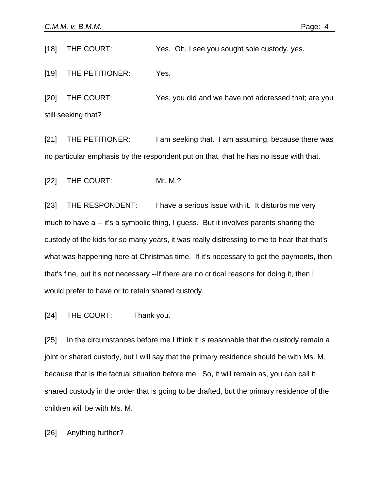[18] THE COURT: Yes. Oh, I see you sought sole custody, yes.

[19] THE PETITIONER: Yes.

[20] THE COURT: Yes, you did and we have not addressed that; are you still seeking that?

[21] THE PETITIONER: I am seeking that. I am assuming, because there was no particular emphasis by the respondent put on that, that he has no issue with that.

[22] THE COURT: Mr. M.?

[23] THE RESPONDENT: I have a serious issue with it. It disturbs me very much to have a -- it's a symbolic thing, I guess. But it involves parents sharing the custody of the kids for so many years, it was really distressing to me to hear that that's what was happening here at Christmas time. If it's necessary to get the payments, then that's fine, but it's not necessary --If there are no critical reasons for doing it, then I would prefer to have or to retain shared custody.

[24] THE COURT: Thank you.

[25] In the circumstances before me I think it is reasonable that the custody remain a joint or shared custody, but I will say that the primary residence should be with Ms. M. because that is the factual situation before me. So, it will remain as, you can call it shared custody in the order that is going to be drafted, but the primary residence of the children will be with Ms. M.

[26] Anything further?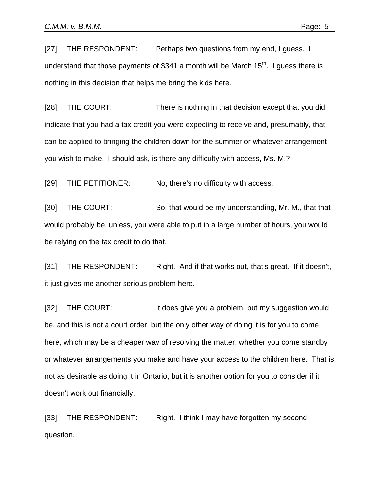[27] THE RESPONDENT: Perhaps two questions from my end, I quess. I understand that those payments of \$341 a month will be March  $15<sup>th</sup>$ . I guess there is nothing in this decision that helps me bring the kids here.

[28] THE COURT: There is nothing in that decision except that you did indicate that you had a tax credit you were expecting to receive and, presumably, that can be applied to bringing the children down for the summer or whatever arrangement you wish to make. I should ask, is there any difficulty with access, Ms. M.?

[29] THE PETITIONER: No, there's no difficulty with access.

[30] THE COURT: So, that would be my understanding, Mr. M., that that would probably be, unless, you were able to put in a large number of hours, you would be relying on the tax credit to do that.

[31] THE RESPONDENT: Right. And if that works out, that's great. If it doesn't, it just gives me another serious problem here.

[32] THE COURT: It does give you a problem, but my suggestion would be, and this is not a court order, but the only other way of doing it is for you to come here, which may be a cheaper way of resolving the matter, whether you come standby or whatever arrangements you make and have your access to the children here. That is not as desirable as doing it in Ontario, but it is another option for you to consider if it doesn't work out financially.

[33] THE RESPONDENT: Right. I think I may have forgotten my second question.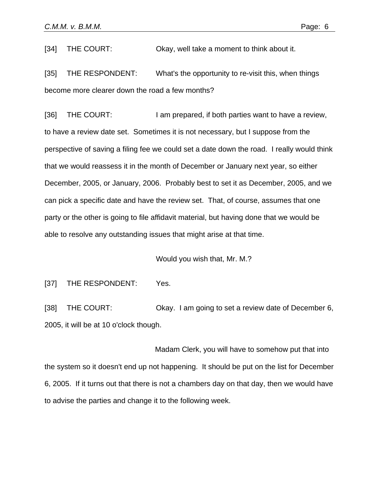[34] THE COURT: Okay, well take a moment to think about it.

[35] THE RESPONDENT: What's the opportunity to re-visit this, when things become more clearer down the road a few months?

[36] THE COURT: I am prepared, if both parties want to have a review, to have a review date set. Sometimes it is not necessary, but I suppose from the perspective of saving a filing fee we could set a date down the road. I really would think that we would reassess it in the month of December or January next year, so either December, 2005, or January, 2006. Probably best to set it as December, 2005, and we can pick a specific date and have the review set. That, of course, assumes that one party or the other is going to file affidavit material, but having done that we would be able to resolve any outstanding issues that might arise at that time.

Would you wish that, Mr. M.?

[37] THE RESPONDENT: Yes.

[38] THE COURT: Okay. I am going to set a review date of December 6, 2005, it will be at 10 o'clock though.

Madam Clerk, you will have to somehow put that into the system so it doesn't end up not happening. It should be put on the list for December 6, 2005. If it turns out that there is not a chambers day on that day, then we would have to advise the parties and change it to the following week.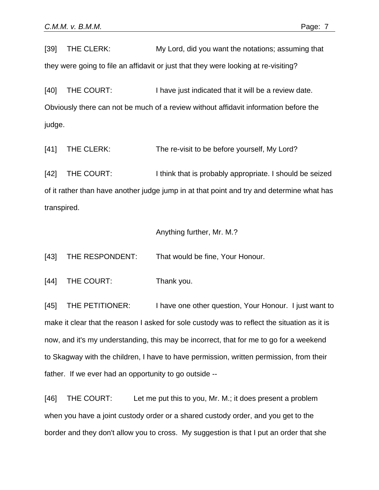[39] THE CLERK: My Lord, did you want the notations; assuming that they were going to file an affidavit or just that they were looking at re-visiting?

[40] THE COURT: I have just indicated that it will be a review date. Obviously there can not be much of a review without affidavit information before the judge.

[41] THE CLERK: The re-visit to be before yourself, My Lord?

[42] THE COURT: I think that is probably appropriate. I should be seized of it rather than have another judge jump in at that point and try and determine what has transpired.

## Anything further, Mr. M.?

[43] THE RESPONDENT: That would be fine, Your Honour.

[44] THE COURT: Thank you.

[45] THE PETITIONER: I have one other question, Your Honour. I just want to make it clear that the reason I asked for sole custody was to reflect the situation as it is now, and it's my understanding, this may be incorrect, that for me to go for a weekend to Skagway with the children, I have to have permission, written permission, from their father. If we ever had an opportunity to go outside --

[46] THE COURT: Let me put this to you, Mr. M.; it does present a problem when you have a joint custody order or a shared custody order, and you get to the border and they don't allow you to cross. My suggestion is that I put an order that she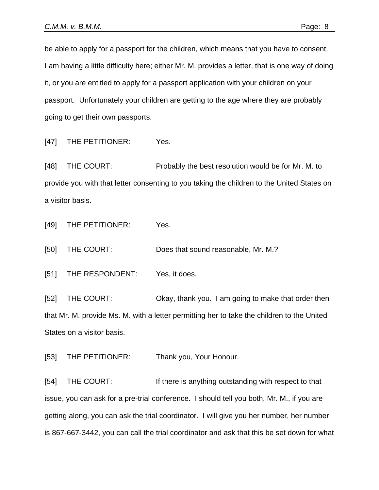be able to apply for a passport for the children, which means that you have to consent. I am having a little difficulty here; either Mr. M. provides a letter, that is one way of doing it, or you are entitled to apply for a passport application with your children on your passport. Unfortunately your children are getting to the age where they are probably going to get their own passports.

[47] THE PETITIONER: Yes.

[48] THE COURT: Probably the best resolution would be for Mr. M. to provide you with that letter consenting to you taking the children to the United States on a visitor basis.

[49] THE PETITIONER: Yes.

[50] THE COURT: Does that sound reasonable, Mr. M.?

[51] THE RESPONDENT: Yes, it does.

[52] THE COURT: Okay, thank you. I am going to make that order then that Mr. M. provide Ms. M. with a letter permitting her to take the children to the United States on a visitor basis.

[53] THE PETITIONER: Thank you, Your Honour.

[54] THE COURT: If there is anything outstanding with respect to that issue, you can ask for a pre-trial conference. I should tell you both, Mr. M., if you are getting along, you can ask the trial coordinator. I will give you her number, her number is 867-667-3442, you can call the trial coordinator and ask that this be set down for what